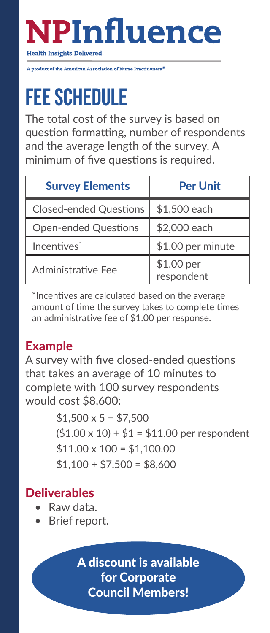# **NPInfluence**

**Health Insights Delivered.** 

**A** product of the American Association of Nurse Practitioners<sup>®</sup>

## **Fee schedule**

The total cost of the survey is based on question formatting, number of respondents and the average length of the survey. A minimum of five questions is required.

| <b>Survey Elements</b>        | <b>Per Unit</b>          |
|-------------------------------|--------------------------|
| <b>Closed-ended Questions</b> | \$1,500 each             |
| <b>Open-ended Questions</b>   | \$2,000 each             |
| Incentives <sup>*</sup>       | \$1.00 per minute        |
| Administrative Fee            | \$1.00 per<br>respondent |

\*Incentives are calculated based on the average amount of time the survey takes to complete times an administrative fee of \$1.00 per response.

### Example

A survey with five closed-ended questions that takes an average of 10 minutes to complete with 100 survey respondents would cost \$8,600:

> $$1,500 \times 5 = $7,500$  $($1.00 \times 10) + $1 = $11.00$  per respondent  $$11.00 \times 100 = $1,100.00$  $$1,100 + $7,500 = $8,600$

### **Deliverables**

- Raw data.
- Brief report.

A discount is available for Corporate Council Members!